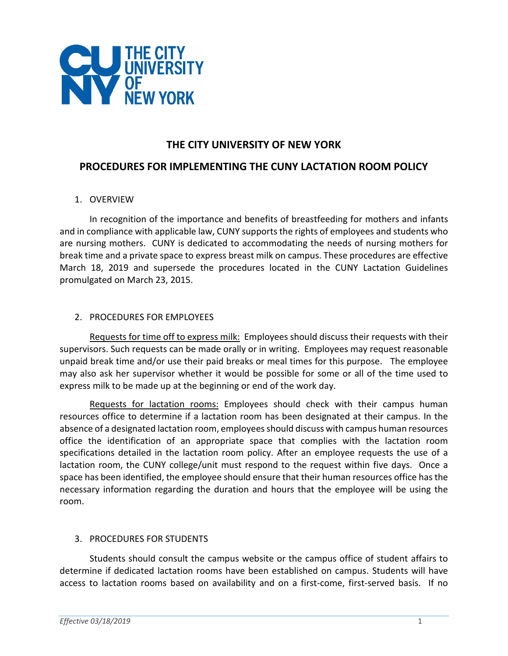

# **THE CITY UNIVERSITY OF NEW YORK**

## **PROCEDURES FOR IMPLEMENTING THE CUNY LACTATION ROOM POLICY**

#### 1. OVERVIEW

In recognition of the importance and benefits of breastfeeding for mothers and infants and in compliance with applicable law, CUNY supports the rights of employees and students who are nursing mothers. CUNY is dedicated to accommodating the needs of nursing mothers for break time and a private space to express breast milk on campus. These procedures are effective March 18, 2019 and supersede the procedures located in the CUNY Lactation Guidelines promulgated on March 23, 2015.

#### 2. PROCEDURES FOR EMPLOYEES

Requests for time off to express milk: Employees should discuss their requests with their supervisors. Such requests can be made orally or in writing. Employees may request reasonable unpaid break time and/or use their paid breaks or meal times for this purpose. The employee may also ask her supervisor whether it would be possible for some or all of the time used to express milk to be made up at the beginning or end of the work day.

Requests for lactation rooms: Employees should check with their campus human resources office to determine if a lactation room has been designated at their campus. In the absence of a designated lactation room, employees should discuss with campus human resources office the identification of an appropriate space that complies with the lactation room specifications detailed in the lactation room policy. After an employee requests the use of a lactation room, the CUNY college/unit must respond to the request within five days. Once a space has been identified, the employee should ensure that their human resources office hasthe necessary information regarding the duration and hours that the employee will be using the room.

### 3. PROCEDURES FOR STUDENTS

Students should consult the campus website or the campus office of student affairs to determine if dedicated lactation rooms have been established on campus. Students will have access to lactation rooms based on availability and on a first-come, first-served basis. If no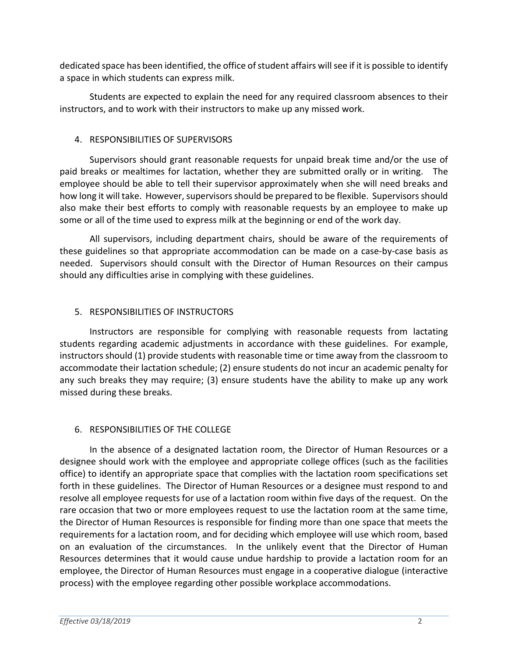dedicated space has been identified, the office of student affairs will see if it is possible to identify a space in which students can express milk.

Students are expected to explain the need for any required classroom absences to their instructors, and to work with their instructors to make up any missed work.

### 4. RESPONSIBILITIES OF SUPERVISORS

Supervisors should grant reasonable requests for unpaid break time and/or the use of paid breaks or mealtimes for lactation, whether they are submitted orally or in writing. The employee should be able to tell their supervisor approximately when she will need breaks and how long it will take. However, supervisors should be prepared to be flexible. Supervisors should also make their best efforts to comply with reasonable requests by an employee to make up some or all of the time used to express milk at the beginning or end of the work day.

All supervisors, including department chairs, should be aware of the requirements of these guidelines so that appropriate accommodation can be made on a case-by-case basis as needed. Supervisors should consult with the Director of Human Resources on their campus should any difficulties arise in complying with these guidelines.

### 5. RESPONSIBILITIES OF INSTRUCTORS

Instructors are responsible for complying with reasonable requests from lactating students regarding academic adjustments in accordance with these guidelines. For example, instructors should (1) provide students with reasonable time or time away from the classroom to accommodate their lactation schedule; (2) ensure students do not incur an academic penalty for any such breaks they may require; (3) ensure students have the ability to make up any work missed during these breaks.

### 6. RESPONSIBILITIES OF THE COLLEGE

In the absence of a designated lactation room, the Director of Human Resources or a designee should work with the employee and appropriate college offices (such as the facilities office) to identify an appropriate space that complies with the lactation room specifications set forth in these guidelines. The Director of Human Resources or a designee must respond to and resolve all employee requests for use of a lactation room within five days of the request. On the rare occasion that two or more employees request to use the lactation room at the same time, the Director of Human Resources is responsible for finding more than one space that meets the requirements for a lactation room, and for deciding which employee will use which room, based on an evaluation of the circumstances. In the unlikely event that the Director of Human Resources determines that it would cause undue hardship to provide a lactation room for an employee, the Director of Human Resources must engage in a cooperative dialogue (interactive process) with the employee regarding other possible workplace accommodations.